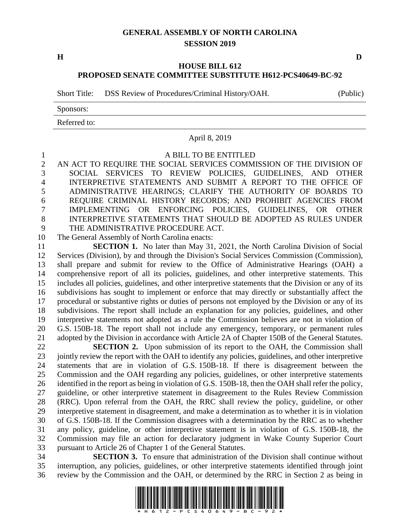## **GENERAL ASSEMBLY OF NORTH CAROLINA SESSION 2019**

**H D**

## **HOUSE BILL 612 PROPOSED SENATE COMMITTEE SUBSTITUTE H612-PCS40649-BC-92**

Short Title: DSS Review of Procedures/Criminal History/OAH. (Public)

Sponsors:

Referred to:

## April 8, 2019

A BILL TO BE ENTITLED

 AN ACT TO REQUIRE THE SOCIAL SERVICES COMMISSION OF THE DIVISION OF SOCIAL SERVICES TO REVIEW POLICIES, GUIDELINES, AND OTHER INTERPRETIVE STATEMENTS AND SUBMIT A REPORT TO THE OFFICE OF ADMINISTRATIVE HEARINGS; CLARIFY THE AUTHORITY OF BOARDS TO REQUIRE CRIMINAL HISTORY RECORDS; AND PROHIBIT AGENCIES FROM IMPLEMENTING OR ENFORCING POLICIES, GUIDELINES, OR OTHER INTERPRETIVE STATEMENTS THAT SHOULD BE ADOPTED AS RULES UNDER THE ADMINISTRATIVE PROCEDURE ACT.

The General Assembly of North Carolina enacts:

 **SECTION 1.** No later than May 31, 2021, the North Carolina Division of Social Services (Division), by and through the Division's Social Services Commission (Commission), shall prepare and submit for review to the Office of Administrative Hearings (OAH) a comprehensive report of all its policies, guidelines, and other interpretive statements. This includes all policies, guidelines, and other interpretive statements that the Division or any of its subdivisions has sought to implement or enforce that may directly or substantially affect the procedural or substantive rights or duties of persons not employed by the Division or any of its subdivisions. The report shall include an explanation for any policies, guidelines, and other interpretive statements not adopted as a rule the Commission believes are not in violation of G.S. 150B-18. The report shall not include any emergency, temporary, or permanent rules adopted by the Division in accordance with Article 2A of Chapter 150B of the General Statutes.

 **SECTION 2.** Upon submission of its report to the OAH, the Commission shall jointly review the report with the OAH to identify any policies, guidelines, and other interpretive statements that are in violation of G.S. 150B-18. If there is disagreement between the Commission and the OAH regarding any policies, guidelines, or other interpretive statements 26 identified in the report as being in violation of G.S. 150B-18, then the OAH shall refer the policy, guideline, or other interpretive statement in disagreement to the Rules Review Commission (RRC). Upon referral from the OAH, the RRC shall review the policy, guideline, or other interpretive statement in disagreement, and make a determination as to whether it is in violation of G.S. 150B-18. If the Commission disagrees with a determination by the RRC as to whether any policy, guideline, or other interpretive statement is in violation of G.S. 150B-18, the Commission may file an action for declaratory judgment in Wake County Superior Court pursuant to Article 26 of Chapter 1 of the General Statutes.

 **SECTION 3.** To ensure that administration of the Division shall continue without interruption, any policies, guidelines, or other interpretive statements identified through joint review by the Commission and the OAH, or determined by the RRC in Section 2 as being in

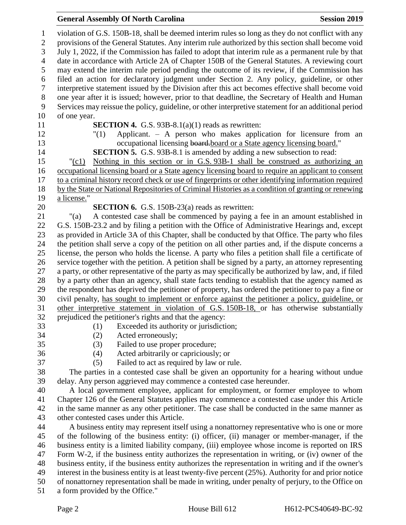## **General Assembly Of North Carolina Session 2019 Session 2019**

 violation of G.S. 150B-18, shall be deemed interim rules so long as they do not conflict with any provisions of the General Statutes. Any interim rule authorized by this section shall become void July 1, 2022, if the Commission has failed to adopt that interim rule as a permanent rule by that date in accordance with Article 2A of Chapter 150B of the General Statutes. A reviewing court may extend the interim rule period pending the outcome of its review, if the Commission has filed an action for declaratory judgment under Section 2. Any policy, guideline, or other interpretive statement issued by the Division after this act becomes effective shall become void one year after it is issued; however, prior to that deadline, the Secretary of Health and Human Services may reissue the policy, guideline, or other interpretive statement for an additional period of one year. **SECTION 4.** G.S. 93B-8.1(a)(1) reads as rewritten: "(1) Applicant. – A person who makes application for licensure from an 13 occupational licensing board-board or a State agency licensing board." **SECTION 5.** G.S. 93B-8.1 is amended by adding a new subsection to read: "(c1) Nothing in this section or in G.S. 93B-1 shall be construed as authorizing an occupational licensing board or a State agency licensing board to require an applicant to consent to a criminal history record check or use of fingerprints or other identifying information required by the State or National Repositories of Criminal Histories as a condition of granting or renewing a license." **SECTION 6.** G.S. 150B-23(a) reads as rewritten: "(a) A contested case shall be commenced by paying a fee in an amount established in G.S. 150B-23.2 and by filing a petition with the Office of Administrative Hearings and, except as provided in Article 3A of this Chapter, shall be conducted by that Office. The party who files the petition shall serve a copy of the petition on all other parties and, if the dispute concerns a license, the person who holds the license. A party who files a petition shall file a certificate of service together with the petition. A petition shall be signed by a party, an attorney representing a party, or other representative of the party as may specifically be authorized by law, and, if filed by a party other than an agency, shall state facts tending to establish that the agency named as the respondent has deprived the petitioner of property, has ordered the petitioner to pay a fine or civil penalty, has sought to implement or enforce against the petitioner a policy, guideline, or other interpretive statement in violation of G.S. 150B-18, or has otherwise substantially prejudiced the petitioner's rights and that the agency: (1) Exceeded its authority or jurisdiction; (2) Acted erroneously; (3) Failed to use proper procedure; (4) Acted arbitrarily or capriciously; or (5) Failed to act as required by law or rule. The parties in a contested case shall be given an opportunity for a hearing without undue delay. Any person aggrieved may commence a contested case hereunder. A local government employee, applicant for employment, or former employee to whom Chapter 126 of the General Statutes applies may commence a contested case under this Article in the same manner as any other petitioner. The case shall be conducted in the same manner as other contested cases under this Article. A business entity may represent itself using a nonattorney representative who is one or more of the following of the business entity: (i) officer, (ii) manager or member-manager, if the business entity is a limited liability company, (iii) employee whose income is reported on IRS Form W-2, if the business entity authorizes the representation in writing, or (iv) owner of the business entity, if the business entity authorizes the representation in writing and if the owner's interest in the business entity is at least twenty-five percent (25%). Authority for and prior notice of nonattorney representation shall be made in writing, under penalty of perjury, to the Office on a form provided by the Office."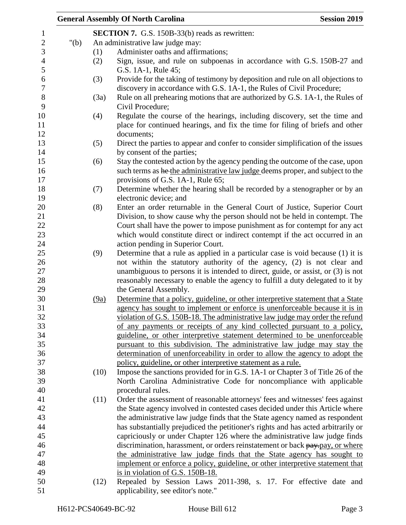|         |                                                | <b>General Assembly Of North Carolina</b>                                          | <b>Session 2019</b> |  |  |
|---------|------------------------------------------------|------------------------------------------------------------------------------------|---------------------|--|--|
|         | SECTION 7. G.S. 150B-33(b) reads as rewritten: |                                                                                    |                     |  |  |
| " $(b)$ | An administrative law judge may:               |                                                                                    |                     |  |  |
|         | (1)                                            | Administer oaths and affirmations;                                                 |                     |  |  |
|         | (2)                                            | Sign, issue, and rule on subpoenas in accordance with G.S. 150B-27 and             |                     |  |  |
|         |                                                | G.S. 1A-1, Rule 45;                                                                |                     |  |  |
|         | (3)                                            | Provide for the taking of testimony by deposition and rule on all objections to    |                     |  |  |
|         |                                                | discovery in accordance with G.S. 1A-1, the Rules of Civil Procedure;              |                     |  |  |
|         | (3a)                                           | Rule on all prehearing motions that are authorized by G.S. 1A-1, the Rules of      |                     |  |  |
|         |                                                | Civil Procedure;                                                                   |                     |  |  |
|         | (4)                                            | Regulate the course of the hearings, including discovery, set the time and         |                     |  |  |
|         |                                                | place for continued hearings, and fix the time for filing of briefs and other      |                     |  |  |
|         |                                                | documents;                                                                         |                     |  |  |
|         | (5)                                            | Direct the parties to appear and confer to consider simplification of the issues   |                     |  |  |
|         |                                                | by consent of the parties;                                                         |                     |  |  |
|         | (6)                                            | Stay the contested action by the agency pending the outcome of the case, upon      |                     |  |  |
|         |                                                | such terms as he the administrative law judge deems proper, and subject to the     |                     |  |  |
|         |                                                | provisions of G.S. 1A-1, Rule 65;                                                  |                     |  |  |
|         | (7)                                            | Determine whether the hearing shall be recorded by a stenographer or by an         |                     |  |  |
|         |                                                | electronic device; and                                                             |                     |  |  |
|         | (8)                                            | Enter an order returnable in the General Court of Justice, Superior Court          |                     |  |  |
|         |                                                | Division, to show cause why the person should not be held in contempt. The         |                     |  |  |
|         |                                                | Court shall have the power to impose punishment as for contempt for any act        |                     |  |  |
|         |                                                | which would constitute direct or indirect contempt if the act occurred in an       |                     |  |  |
|         |                                                | action pending in Superior Court.                                                  |                     |  |  |
|         | (9)                                            | Determine that a rule as applied in a particular case is void because (1) it is    |                     |  |  |
|         |                                                | not within the statutory authority of the agency, (2) is not clear and             |                     |  |  |
|         |                                                | unambiguous to persons it is intended to direct, guide, or assist, or $(3)$ is not |                     |  |  |
|         |                                                | reasonably necessary to enable the agency to fulfill a duty delegated to it by     |                     |  |  |
|         |                                                | the General Assembly.                                                              |                     |  |  |
|         | (9a)                                           | Determine that a policy, guideline, or other interpretive statement that a State   |                     |  |  |
|         |                                                | agency has sought to implement or enforce is unenforceable because it is in        |                     |  |  |
|         |                                                | violation of G.S. 150B-18. The administrative law judge may order the refund       |                     |  |  |
|         |                                                | of any payments or receipts of any kind collected pursuant to a policy,            |                     |  |  |
|         |                                                | guideline, or other interpretive statement determined to be unenforceable          |                     |  |  |
|         |                                                | pursuant to this subdivision. The administrative law judge may stay the            |                     |  |  |
|         |                                                | determination of unenforceability in order to allow the agency to adopt the        |                     |  |  |
|         |                                                | policy, guideline, or other interpretive statement as a rule.                      |                     |  |  |
|         | (10)                                           | Impose the sanctions provided for in G.S. 1A-1 or Chapter 3 of Title 26 of the     |                     |  |  |
|         |                                                | North Carolina Administrative Code for noncompliance with applicable               |                     |  |  |
|         |                                                | procedural rules.                                                                  |                     |  |  |
|         | (11)                                           | Order the assessment of reasonable attorneys' fees and witnesses' fees against     |                     |  |  |
|         |                                                | the State agency involved in contested cases decided under this Article where      |                     |  |  |
|         |                                                | the administrative law judge finds that the State agency named as respondent       |                     |  |  |
|         |                                                | has substantially prejudiced the petitioner's rights and has acted arbitrarily or  |                     |  |  |
|         |                                                | capriciously or under Chapter 126 where the administrative law judge finds         |                     |  |  |
|         |                                                | discrimination, harassment, or orders reinstatement or back pay-pay, or where      |                     |  |  |
|         |                                                | the administrative law judge finds that the State agency has sought to             |                     |  |  |
|         |                                                | implement or enforce a policy, guideline, or other interpretive statement that     |                     |  |  |
|         |                                                | is in violation of G.S. 150B-18.                                                   |                     |  |  |
|         | (12)                                           | Repealed by Session Laws 2011-398, s. 17. For effective date and                   |                     |  |  |
|         |                                                | applicability, see editor's note."                                                 |                     |  |  |